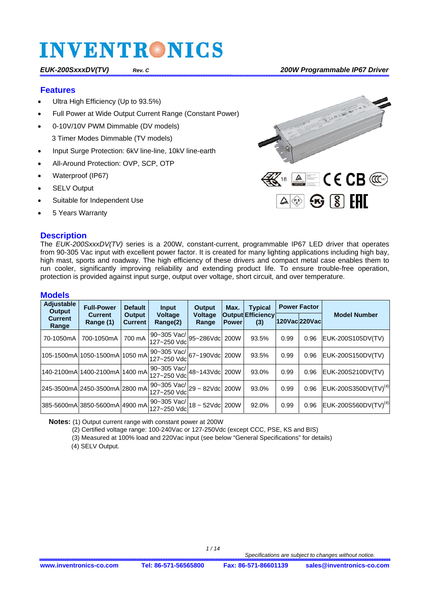#### **Features**

- Ultra High Efficiency (Up to 93.5%)
- Full Power at Wide Output Current Range (Constant Power)
- 0-10V/10V PWM Dimmable (DV models) 3 Timer Modes Dimmable (TV models)
- Input Surge Protection: 6kV line-line, 10kV line-earth
- All-Around Protection: OVP, SCP, OTP
- Waterproof (IP67)
- SELV Output
- Suitable for Independent Use
- 5 Years Warranty

#### **Description**



The *EUK-200SxxxDV(TV)* series is a 200W, constant-current, programmable IP67 LED driver that operates from 90-305 Vac input with excellent power factor. It is created for many lighting applications including high bay, high mast, sports and roadway. The high efficiency of these drivers and compact metal case enables them to run cooler, significantly improving reliability and extending product life. To ensure trouble-free operation, protection is provided against input surge, output over voltage, short circuit, and over temperature.

#### **Models**

| <b>Adjustable</b><br>Output | <b>Full-Power</b>                                         | <b>Default</b>           | Input                                              | <b>Output</b>    | Max.         | <b>Typical</b>                  | <b>Power Factor</b> |      |                                  |
|-----------------------------|-----------------------------------------------------------|--------------------------|----------------------------------------------------|------------------|--------------|---------------------------------|---------------------|------|----------------------------------|
| <b>Current</b><br>Range     | <b>Current</b><br>Range (1)                               | Output<br><b>Current</b> | <b>Voltage</b><br>Range(2)                         | Voltage<br>Range | <b>Power</b> | <b>Output Efficiency</b><br>(3) | 120Vac 220Vac       |      | <b>Model Number</b>              |
| 70-1050mA                   | 700-1050mA                                                | 700 mA                   | 90~305 Vac/ 95~286Vdc  200W<br>127~250 Vdc         |                  |              | 93.5%                           | 0.99                | 0.96 | EUK-200S105DV(TV)                |
|                             | 105-1500mA 1050-1500mA 1050 mA 90~305 Vac/ 67~190Vdc 200W |                          |                                                    |                  |              | 93.5%                           | 0.99                | 0.96 | EUK-200S150DV(TV)                |
|                             | 140-2100mAl1400-2100mAl1400 mAl                           |                          | 90~305 Vac/ 48~143Vdc  200W '<br>127~250 Vdc       |                  |              | 93.0%                           | 0.99                | 0.96 | EUK-200S210DV(TV)                |
|                             | 245-3500mAl2450-3500mAl2800 mAl                           |                          | $190 - 305$ Vac/ $29 - 82$ Vdc 200W<br>127~250 Vdc |                  |              | 93.0%                           | 0.99                | 0.96 | EUK-200S350DV(TV) <sup>(4)</sup> |
|                             | 385-5600mA 3850-5600mA 4900 mA 30-000 vall                |                          |                                                    | 18 ~ 52Vdc 200W  |              | 92.0%                           | 0.99                | 0.96 | EUK-200S560DV(TV) <sup>(4)</sup> |

**Notes:** (1) Output current range with constant power at 200W

(2) Certified voltage range: 100-240Vac or 127-250Vdc (except CCC, PSE, KS and BIS)

(3) Measured at 100% load and 220Vac input (see below "General Specifications" for details)

(4) SELV Output.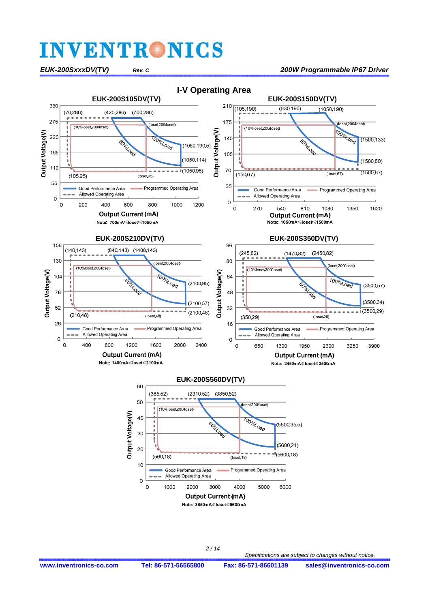

 $10$ 

 $\overline{0}$  $\circ$ 

 *2 / 14*

3000

**Output Current (mA)** Note: 3850mA≤loset≤5600mA

 $($ loset. $18$ 

4000

Programmed Operating Area

5000

6000

Good Performance Area Allowed Operating Area

2000

1000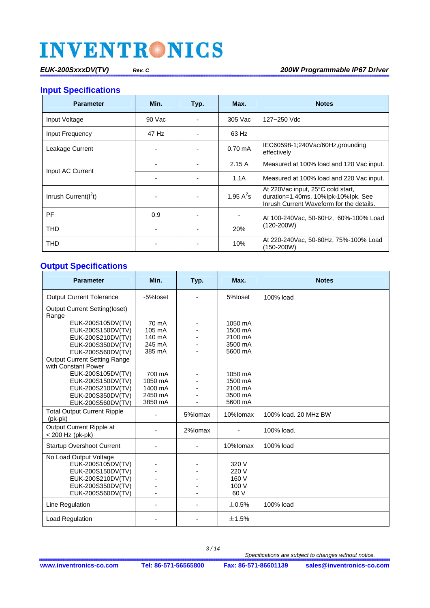**Input Specifications** 

| <b>Parameter</b>         | Min.   | Typ.                                                | Max.              | <b>Notes</b>                                                                                                                    |  |
|--------------------------|--------|-----------------------------------------------------|-------------------|---------------------------------------------------------------------------------------------------------------------------------|--|
| Input Voltage            | 90 Vac |                                                     | 305 Vac           | 127~250 Vdc                                                                                                                     |  |
| Input Frequency          | 47 Hz  |                                                     | 63 Hz             |                                                                                                                                 |  |
| Leakage Current          |        |                                                     | $0.70 \text{ mA}$ | IEC60598-1;240Vac/60Hz,grounding<br>effectively                                                                                 |  |
|                          |        |                                                     | 2.15A             | Measured at 100% load and 120 Vac input.                                                                                        |  |
| Input AC Current         |        |                                                     | 1.1A              | Measured at 100% load and 220 Vac input.                                                                                        |  |
| Inrush Current( $I^2t$ ) |        |                                                     | 1.95 $A^2$ s      | At 220 Vac input, $25^{\circ}$ C cold start,<br>duration=1.40ms, 10%lpk-10%lpk. See<br>Inrush Current Waveform for the details. |  |
| PF                       | 0.9    |                                                     |                   | At 100-240Vac, 50-60Hz, 60%-100% Load                                                                                           |  |
| <b>THD</b>               |        |                                                     | 20%               | $(120-200W)$                                                                                                                    |  |
| THD<br>10%               |        | At 220-240Vac, 50-60Hz, 75%-100% Load<br>(150-200W) |                   |                                                                                                                                 |  |

#### **Output Specifications**

| <b>Parameter</b>                                           | Min.               | Typ.    | Max.               | <b>Notes</b>         |
|------------------------------------------------------------|--------------------|---------|--------------------|----------------------|
| <b>Output Current Tolerance</b>                            | -5%loset           |         | 5%loset            | 100% load            |
| <b>Output Current Setting(loset)</b><br>Range              |                    |         |                    |                      |
| EUK-200S105DV(TV)<br>EUK-200S150DV(TV)                     | 70 mA<br>105 mA    |         | 1050 mA<br>1500 mA |                      |
| EUK-200S210DV(TV)                                          | 140 mA             |         | 2100 mA            |                      |
| EUK-200S350DV(TV)                                          | 245 mA             |         | 3500 mA            |                      |
| EUK-200S560DV(TV)                                          | 385 mA             |         | 5600 mA            |                      |
| <b>Output Current Setting Range</b><br>with Constant Power |                    |         |                    |                      |
| EUK-200S105DV(TV)                                          | 700 mA             |         | 1050 mA            |                      |
| EUK-200S150DV(TV)                                          | 1050 mA            |         | 1500 mA            |                      |
| EUK-200S210DV(TV)<br>EUK-200S350DV(TV)                     | 1400 mA<br>2450 mA |         | 2100 mA<br>3500 mA |                      |
| EUK-200S560DV(TV)                                          | 3850 mA            |         | 5600 mA            |                      |
| <b>Total Output Current Ripple</b><br>$(pk-pk)$            |                    | 5%lomax | 10%lomax           | 100% load, 20 MHz BW |
| Output Current Ripple at<br>< 200 Hz (pk-pk)               | ٠                  | 2%lomax | ٠                  | 100% load.           |
| <b>Startup Overshoot Current</b>                           |                    |         | 10%lomax           | 100% load            |
| No Load Output Voltage<br>EUK-200S105DV(TV)                |                    |         | 320 V              |                      |
| EUK-200S150DV(TV)                                          |                    |         | 220 V              |                      |
| EUK-200S210DV(TV)                                          |                    |         | 160 V              |                      |
| EUK-200S350DV(TV)                                          |                    |         | 100 V              |                      |
| EUK-200S560DV(TV)                                          |                    |         | 60 V               |                      |
| Line Regulation                                            | ٠                  |         | $\pm 0.5\%$        | 100% load            |
| Load Regulation                                            | ٠                  |         | ±1.5%              |                      |

 *3 / 14*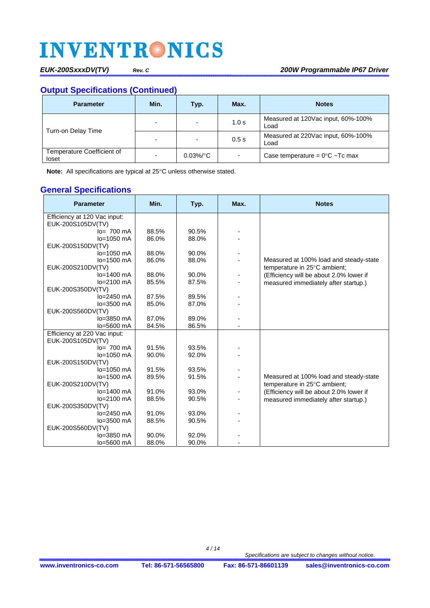*EUK-200SxxxDV(TV) Rev. C 200W Programmable IP67 Driver*

### **Output Specifications (Continued)**

| <b>Parameter</b>                    | Min. | Typ.         | Max.                     | <b>Notes</b>                               |
|-------------------------------------|------|--------------|--------------------------|--------------------------------------------|
| Turn-on Delay Time                  | ٠    | -            | 1.0 s                    | Measured at 120Vac input, 60%-100%<br>Load |
|                                     | ٠    | -            | 0.5s                     | Measured at 220Vac input, 60%-100%<br>Load |
| Temperature Coefficient of<br>loset | ٠    | $0.03\%$ /°C | $\overline{\phantom{a}}$ | Case temperature = $0^{\circ}$ C ~Tc max   |

**Note:** All specifications are typical at 25°C unless otherwise stated.

#### **General Specifications**

| <b>Parameter</b>                  | Min.  | Typ.  | Max. | <b>Notes</b>                            |
|-----------------------------------|-------|-------|------|-----------------------------------------|
| Efficiency at 120 Vac input:      |       |       |      |                                         |
| EUK-200S105DV(TV)                 |       |       |      |                                         |
| $lo= 700$ mA                      | 88.5% | 90.5% |      |                                         |
| $lo=1050$ mA                      | 86.0% | 88.0% |      |                                         |
| EUK-200S150DV(TV)                 |       |       |      |                                         |
| $lo=1050$ mA                      | 88.0% | 90.0% |      |                                         |
| lo=1500 mA                        | 86.0% | 88.0% |      | Measured at 100% load and steady-state  |
| EUK-200S210DV(TV)                 |       |       |      | temperature in 25°C ambient;            |
| $lo=1400$ mA                      | 88.0% | 90.0% |      | (Efficiency will be about 2.0% lower if |
| lo=2100 mA                        | 85.5% | 87.5% |      | measured immediately after startup.)    |
| EUK-200S350DV(TV)<br>$lo=2450$ mA | 87.5% | 89.5% |      |                                         |
| lo=3500 mA                        | 85.0% | 87.0% |      |                                         |
| EUK-200S560DV(TV)                 |       |       |      |                                         |
| lo=3850 mA                        | 87.0% | 89.0% |      |                                         |
| lo=5600 mA                        | 84.5% | 86.5% |      |                                         |
| Efficiency at 220 Vac input:      |       |       |      |                                         |
| EUK-200S105DV(TV)                 |       |       |      |                                         |
| $Io = 700$ mA                     | 91.5% | 93.5% |      |                                         |
| $lo=1050$ mA                      | 90.0% | 92.0% |      |                                         |
| EUK-200S150DV(TV)                 |       |       |      |                                         |
| lo=1050 mA                        | 91.5% | 93.5% |      |                                         |
| lo=1500 mA                        | 89.5% | 91.5% |      | Measured at 100% load and steady-state  |
| EUK-200S210DV(TV)                 |       |       |      | temperature in 25°C ambient;            |
| $lo=1400$ mA                      | 91.0% | 93.0% |      | (Efficiency will be about 2.0% lower if |
| lo=2100 mA                        | 88.5% | 90.5% |      | measured immediately after startup.)    |
| EUK-200S350DV(TV)                 |       |       |      |                                         |
| $lo=2450$ mA                      | 91.0% | 93.0% |      |                                         |
| lo=3500 mA                        | 88.5% | 90.5% |      |                                         |
| EUK-200S560DV(TV)                 |       |       |      |                                         |
| $lo = 3850$ mA                    | 90.0% | 92.0% |      |                                         |
| $lo = 5600$ mA                    | 88.0% | 90.0% |      |                                         |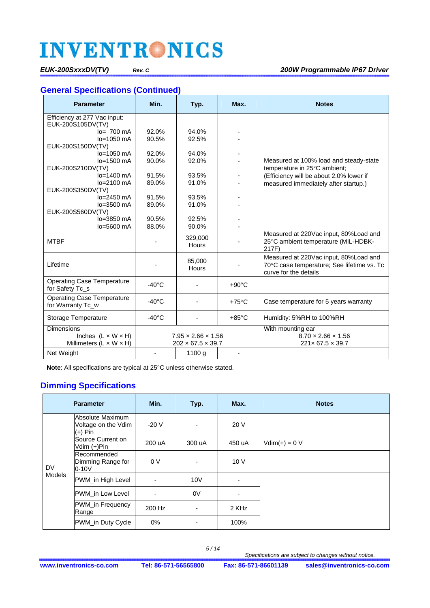### **General Specifications (Continued)**

| <b>Parameter</b>                    | Min.                           | Typ.                          | Max.            | <b>Notes</b>                               |
|-------------------------------------|--------------------------------|-------------------------------|-----------------|--------------------------------------------|
| Efficiency at 277 Vac input:        |                                |                               |                 |                                            |
| EUK-200S105DV(TV)                   |                                |                               |                 |                                            |
| $lo= 700$ mA                        | 92.0%                          | 94.0%                         |                 |                                            |
| $lo=1050$ mA                        | 90.5%                          | 92.5%                         |                 |                                            |
| EUK-200S150DV(TV)                   |                                |                               |                 |                                            |
| lo=1050 mA                          | 92.0%                          | 94.0%                         |                 |                                            |
| lo=1500 mA                          | 90.0%                          | 92.0%                         |                 | Measured at 100% load and steady-state     |
| EUK-200S210DV(TV)                   |                                |                               |                 | temperature in 25°C ambient;               |
| lo=1400 mA<br>lo=2100 mA            | 91.5%<br>89.0%                 | 93.5%<br>91.0%                |                 | (Efficiency will be about 2.0% lower if    |
| EUK-200S350DV(TV)                   |                                |                               |                 | measured immediately after startup.)       |
| $lo=2450$ mA                        | 91.5%                          | 93.5%                         |                 |                                            |
| lo=3500 mA                          | 89.0%                          | 91.0%                         |                 |                                            |
| EUK-200S560DV(TV)                   |                                |                               |                 |                                            |
| lo=3850 mA                          | 90.5%                          | 92.5%                         |                 |                                            |
| lo=5600 mA                          | 88.0%                          | 90.0%                         |                 |                                            |
|                                     |                                | 329,000                       |                 | Measured at 220Vac input, 80%Load and      |
| <b>MTBF</b>                         |                                | Hours                         |                 | 25°C ambient temperature (MIL-HDBK-        |
|                                     |                                |                               |                 | 217F)                                      |
|                                     |                                | 85,000                        |                 | Measured at 220Vac input, 80%Load and      |
| Lifetime                            |                                | <b>Hours</b>                  |                 | 70°C case temperature; See lifetime vs. Tc |
|                                     |                                |                               |                 | curve for the details                      |
| <b>Operating Case Temperature</b>   | $-40^{\circ}$ C                |                               | $+90^{\circ}$ C |                                            |
| for Safety Tc_s                     |                                |                               |                 |                                            |
| <b>Operating Case Temperature</b>   | $-40^{\circ}$ C                |                               | $+75^{\circ}$ C | Case temperature for 5 years warranty      |
| for Warranty Tc_w                   |                                |                               |                 |                                            |
| Storage Temperature                 | $-40^{\circ}$ C                |                               | $+85^{\circ}$ C | Humidity: 5%RH to 100%RH                   |
| <b>Dimensions</b>                   |                                |                               |                 | With mounting ear                          |
| Inches $(L \times W \times H)$      | $7.95 \times 2.66 \times 1.56$ |                               |                 | $8.70 \times 2.66 \times 1.56$             |
| Millimeters $(L \times W \times H)$ |                                | $202 \times 67.5 \times 39.7$ |                 | $221 \times 67.5 \times 39.7$              |
| Net Weight                          |                                | 1100 g                        |                 |                                            |
|                                     |                                |                               |                 |                                            |

**Note:** All specifications are typical at 25°C unless otherwise stated.

### **Dimming Specifications**

| <b>Parameter</b>    |                                                      | Min.                     | Typ.                     | Max.   | <b>Notes</b>    |
|---------------------|------------------------------------------------------|--------------------------|--------------------------|--------|-----------------|
|                     | Absolute Maximum<br>Voltage on the Vdim<br>$(+)$ Pin | $-20V$                   | $\overline{\phantom{0}}$ | 20 V   |                 |
|                     | Source Current on<br>Vdim (+)Pin                     | 200 uA                   | 300 uA                   | 450 uA | $Vdim(+) = 0 V$ |
| <b>DV</b><br>Models | Recommended<br>Dimming Range for<br>$0-10V$          | 0 <sup>V</sup>           | ٠                        | 10V    |                 |
|                     | PWM_in High Level                                    | $\overline{\phantom{a}}$ | 10V                      | ٠      |                 |
|                     | PWM_in Low Level                                     | ٠                        | 0V                       | ٠      |                 |
|                     | PWM_in Frequency<br>Range                            | 200 Hz                   | $\overline{\phantom{0}}$ | 2 KHz  |                 |
|                     | PWM_in Duty Cycle                                    | $0\%$                    | -                        | 100%   |                 |

 *5 / 14*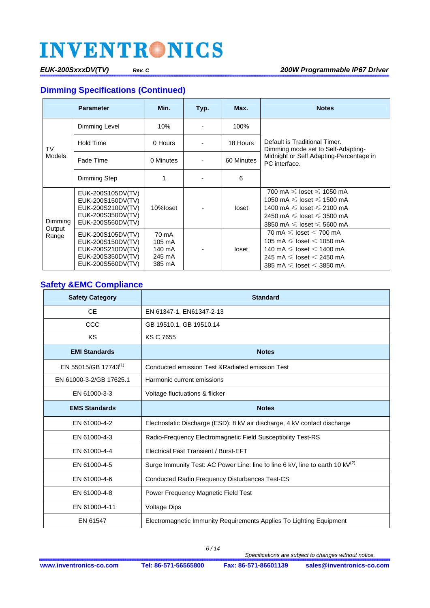### **Dimming Specifications (Continued)**

| <b>Parameter</b>    |                                                                                                                                                        | Min.      | Typ. | Max.       | <b>Notes</b>                                                                                                                                                                                                                 |  |
|---------------------|--------------------------------------------------------------------------------------------------------------------------------------------------------|-----------|------|------------|------------------------------------------------------------------------------------------------------------------------------------------------------------------------------------------------------------------------------|--|
|                     | Dimming Level                                                                                                                                          | 10%       |      | 100%       |                                                                                                                                                                                                                              |  |
| TV<br><b>Models</b> | Hold Time                                                                                                                                              | 0 Hours   |      | 18 Hours   | Default is Traditional Timer.<br>Dimming mode set to Self-Adapting-<br>Midnight or Self Adapting-Percentage in<br>PC interface.                                                                                              |  |
|                     | Fade Time                                                                                                                                              | 0 Minutes |      | 60 Minutes |                                                                                                                                                                                                                              |  |
|                     | Dimming Step                                                                                                                                           |           |      | 6          |                                                                                                                                                                                                                              |  |
| Dimming             | EUK-200S105DV(TV)<br>EUK-200S150DV(TV)<br>EUK-200S210DV(TV)<br>EUK-200S350DV(TV)<br>EUK-200S560DV(TV)                                                  | 10%loset  |      | loset      | 700 mA $\leqslant$ loset $\leqslant$ 1050 mA<br>1050 mA $\leqslant$ loset $\leqslant$ 1500 mA<br>1400 mA $\leq$ loset $\leq$ 2100 mA<br>2450 mA $\leq$ loset $\leq$ 3500 mA<br>3850 mA $\leqslant$ loset $\leqslant$ 5600 mA |  |
| Output<br>Range     | EUK-200S105DV(TV)<br>70 mA<br>EUK-200S150DV(TV)<br>105 mA<br>EUK-200S210DV(TV)<br>140 mA<br>EUK-200S350DV(TV)<br>245 mA<br>EUK-200S560DV(TV)<br>385 mA |           |      | loset      | 70 mA $\leqslant$ loset $<$ 700 mA<br>105 mA $\leq$ loset $<$ 1050 mA<br>140 mA $\leq$ loset $<$ 1400 mA<br>245 mA $\leq$ loset $<$ 2450 mA<br>385 mA $\leq$ loset $<$ 3850 mA                                               |  |

### **Safety &EMC Compliance**

| <b>Safety Category</b>           | <b>Standard</b>                                                                           |
|----------------------------------|-------------------------------------------------------------------------------------------|
| <b>CE</b>                        | EN 61347-1, EN61347-2-13                                                                  |
| CCC                              | GB 19510.1, GB 19510.14                                                                   |
| KS                               | <b>KS C 7655</b>                                                                          |
| <b>EMI Standards</b>             | <b>Notes</b>                                                                              |
| EN 55015/GB 17743 <sup>(1)</sup> | Conducted emission Test & Radiated emission Test                                          |
| EN 61000-3-2/GB 17625.1          | Harmonic current emissions                                                                |
| EN 61000-3-3                     | Voltage fluctuations & flicker                                                            |
| <b>EMS Standards</b>             | <b>Notes</b>                                                                              |
| EN 61000-4-2                     | Electrostatic Discharge (ESD): 8 kV air discharge, 4 kV contact discharge                 |
| EN 61000-4-3                     | Radio-Frequency Electromagnetic Field Susceptibility Test-RS                              |
| EN 61000-4-4                     | <b>Electrical Fast Transient / Burst-EFT</b>                                              |
| EN 61000-4-5                     | Surge Immunity Test: AC Power Line: line to line 6 kV, line to earth 10 kV <sup>(2)</sup> |
| EN 61000-4-6                     | Conducted Radio Frequency Disturbances Test-CS                                            |
| EN 61000-4-8                     | Power Frequency Magnetic Field Test                                                       |
| EN 61000-4-11                    | <b>Voltage Dips</b>                                                                       |
| EN 61547                         | Electromagnetic Immunity Requirements Applies To Lighting Equipment                       |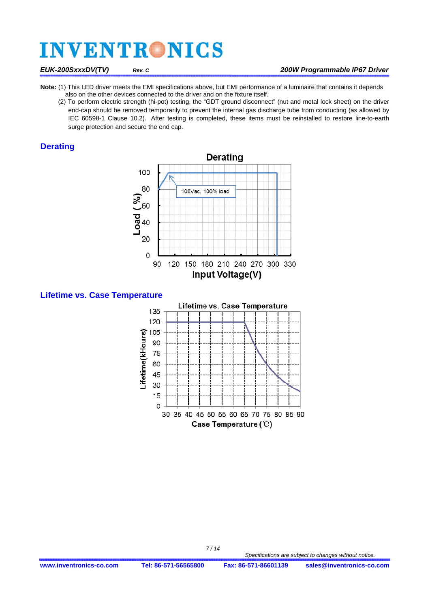- **Note:** (1) This LED driver meets the EMI specifications above, but EMI performance of a luminaire that contains it depends also on the other devices connected to the driver and on the fixture itself.
	- (2) To perform electric strength (hi-pot) testing, the "GDT ground disconnect" (nut and metal lock sheet) on the driver end-cap should be removed temporarily to prevent the internal gas discharge tube from conducting (as allowed by IEC 60598-1 Clause 10.2). After testing is completed, these items must be reinstalled to restore line-to-earth surge protection and secure the end cap.

#### **Derating**



**Lifetime vs. Case Temperature** 



 *7 / 14*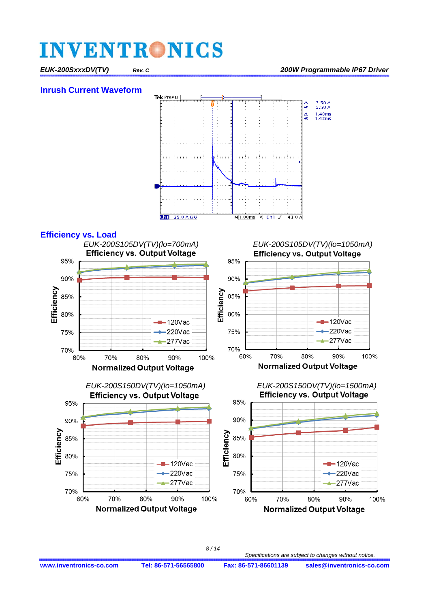#### **Inrush Current Waveform**





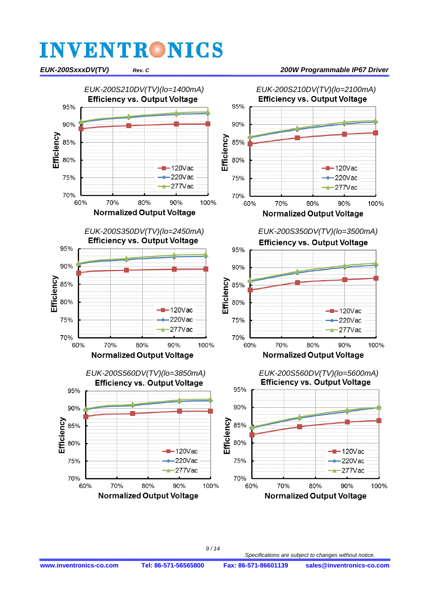

 *9 / 14*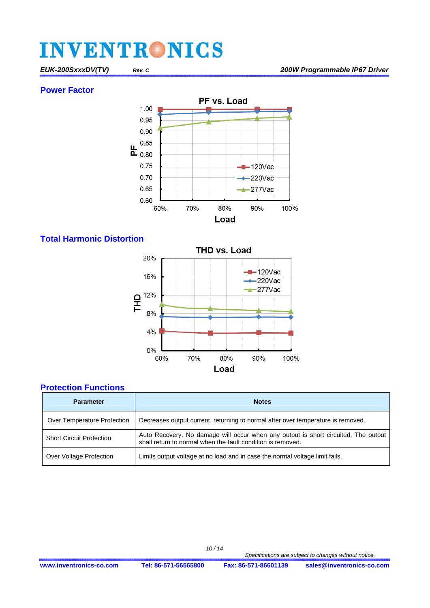#### **Power Factor**



### **Total Harmonic Distortion**



### **Protection Functions**

| <b>Parameter</b>                | <b>Notes</b>                                                                                                                                      |
|---------------------------------|---------------------------------------------------------------------------------------------------------------------------------------------------|
| Over Temperature Protection     | Decreases output current, returning to normal after over temperature is removed.                                                                  |
| <b>Short Circuit Protection</b> | Auto Recovery. No damage will occur when any output is short circuited. The output<br>shall return to normal when the fault condition is removed. |
| Over Voltage Protection         | Limits output voltage at no load and in case the normal voltage limit fails.                                                                      |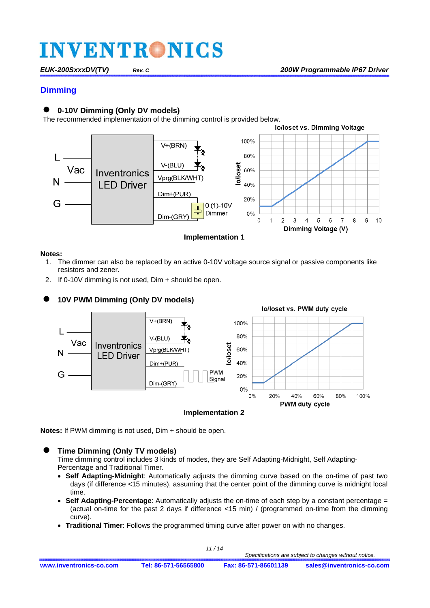### **Dimming**

#### **0-10V Dimming (Only DV models)**

The recommended implementation of the dimming control is provided below.



#### **Notes:**

- 1. The dimmer can also be replaced by an active 0-10V voltage source signal or passive components like resistors and zener.
- 2. If 0-10V dimming is not used, Dim + should be open.



#### **Implementation 2**

**Notes:** If PWM dimming is not used, Dim + should be open.

#### **Time Dimming (Only TV models)**

Time dimming control includes 3 kinds of modes, they are Self Adapting-Midnight, Self Adapting-Percentage and Traditional Timer.

- **Self Adapting-Midnight**: Automatically adjusts the dimming curve based on the on-time of past two days (if difference <15 minutes), assuming that the center point of the dimming curve is midnight local time.
- **Self Adapting-Percentage**: Automatically adjusts the on-time of each step by a constant percentage = (actual on-time for the past 2 days if difference <15 min) / (programmed on-time from the dimming curve).
- **Traditional Timer**: Follows the programmed timing curve after power on with no changes.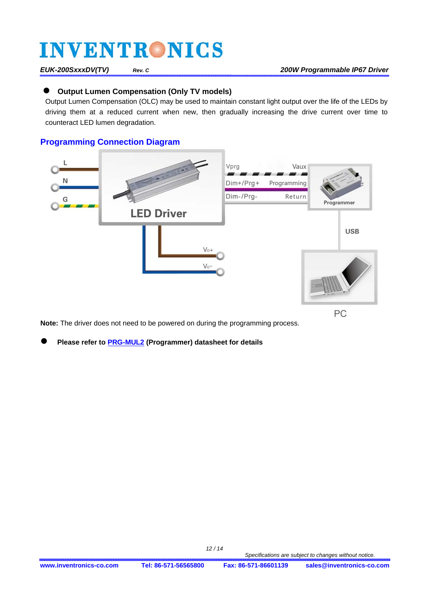### **Output Lumen Compensation (Only TV models)**

Output Lumen Compensation (OLC) may be used to maintain constant light output over the life of the LEDs by driving them at a reduced current when new, then gradually increasing the drive current over time to counteract LED lumen degradation.

### **Programming Connection Diagram**



**Note:** The driver does not need to be powered on during the programming process.

**Please refer t[o PRG-MUL2 \(Prog](http://www.inventronics-co.com/product/prg-mul2/)rammer) datasheet for details** 

 *12 / 14*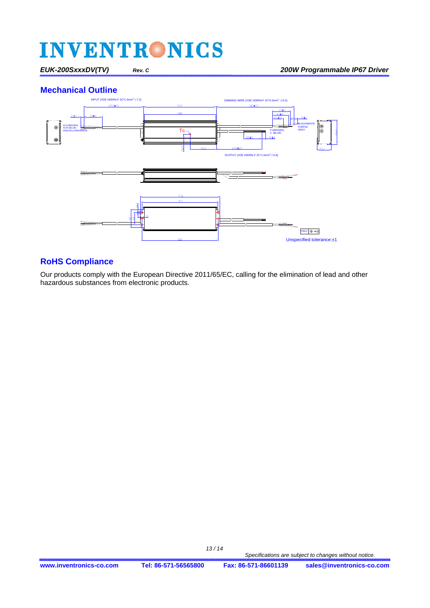### **Mechanical Outline**



### **RoHS Compliance**

Our products comply with the European Directive 2011/65/EC, calling for the elimination of lead and other hazardous substances from electronic products.

 *13 / 14*